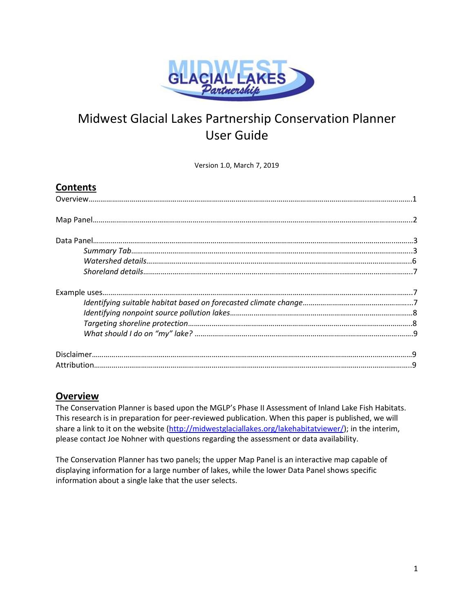

# Midwest Glacial Lakes Partnership Conservation Planner User Guide

Version 1.0, March 7, 2019

| <b>Contents</b> |  |
|-----------------|--|
|                 |  |
|                 |  |
|                 |  |
|                 |  |
|                 |  |
|                 |  |
|                 |  |
|                 |  |
|                 |  |
|                 |  |
|                 |  |
|                 |  |
|                 |  |

## **Overview**

The Conservation Planner is based upon the MGLP's Phase II Assessment of Inland Lake Fish Habitats. This research is in preparation for peer-reviewed publication. When this paper is published, we will share a link to it on the website [\(http://midwestglaciallakes.org/lakehabitatviewer/\)](http://midwestglaciallakes.org/lakehabitatviewer/); in the interim, please contact Joe Nohner with questions regarding the assessment or data availability.

The Conservation Planner has two panels; the upper Map Panel is an interactive map capable of displaying information for a large number of lakes, while the lower Data Panel shows specific information about a single lake that the user selects.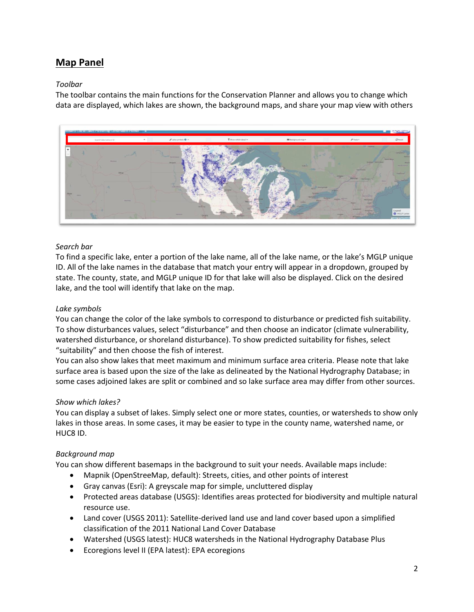## **Map Panel**

#### *Toolbar*

The toolbar contains the main functions for the Conservation Planner and allows you to change which data are displayed, which lakes are shown, the background maps, and share your map view with others



#### *Search bar*

To find a specific lake, enter a portion of the lake name, all of the lake name, or the lake's MGLP unique ID. All of the lake names in the database that match your entry will appear in a dropdown, grouped by state. The county, state, and MGLP unique ID for that lake will also be displayed. Click on the desired lake, and the tool will identify that lake on the map.

#### *Lake symbols*

You can change the color of the lake symbols to correspond to disturbance or predicted fish suitability. To show disturbances values, select "disturbance" and then choose an indicator (climate vulnerability, watershed disturbance, or shoreland disturbance). To show predicted suitability for fishes, select "suitability" and then choose the fish of interest.

You can also show lakes that meet maximum and minimum surface area criteria. Please note that lake surface area is based upon the size of the lake as delineated by the National Hydrography Database; in some cases adjoined lakes are split or combined and so lake surface area may differ from other sources.

#### *Show which lakes?*

You can display a subset of lakes. Simply select one or more states, counties, or watersheds to show only lakes in those areas. In some cases, it may be easier to type in the county name, watershed name, or HUC8 ID.

#### *Background map*

You can show different basemaps in the background to suit your needs. Available maps include:

- Mapnik (OpenStreeMap, default): Streets, cities, and other points of interest
- Gray canvas (Esri): A greyscale map for simple, uncluttered display
- Protected areas database (USGS): Identifies areas protected for biodiversity and multiple natural resource use.
- Land cover (USGS 2011): Satellite-derived land use and land cover based upon a simplified classification of the 2011 National Land Cover Database
- Watershed (USGS latest): HUC8 watersheds in the National Hydrography Database Plus
- Ecoregions level II (EPA latest): EPA ecoregions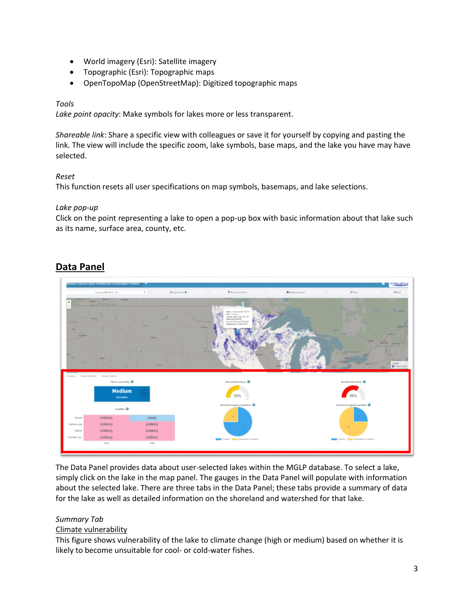- World imagery (Esri): Satellite imagery
- Topographic (Esri): Topographic maps
- OpenTopoMap (OpenStreetMap): Digitized topographic maps

#### *Tools*

*Lake point opacity*: Make symbols for lakes more or less transparent.

*Shareable link*: Share a specific view with colleagues or save it for yourself by copying and pasting the link. The view will include the specific zoom, lake symbols, base maps, and the lake you have may have selected.

#### *Reset*

This function resets all user specifications on map symbols, basemaps, and lake selections.

#### *Lake pop-up*

Click on the point representing a lake to open a pop-up box with basic information about that lake such as its name, surface area, county, etc.



## **Data Panel**

The Data Panel provides data about user-selected lakes within the MGLP database. To select a lake, simply click on the lake in the map panel. The gauges in the Data Panel will populate with information about the selected lake. There are three tabs in the Data Panel; these tabs provide a summary of data for the lake as well as detailed information on the shoreland and watershed for that lake.

#### *Summary Tab*

#### Climate vulnerability

This figure shows vulnerability of the lake to climate change (high or medium) based on whether it is likely to become unsuitable for cool- or cold-water fishes.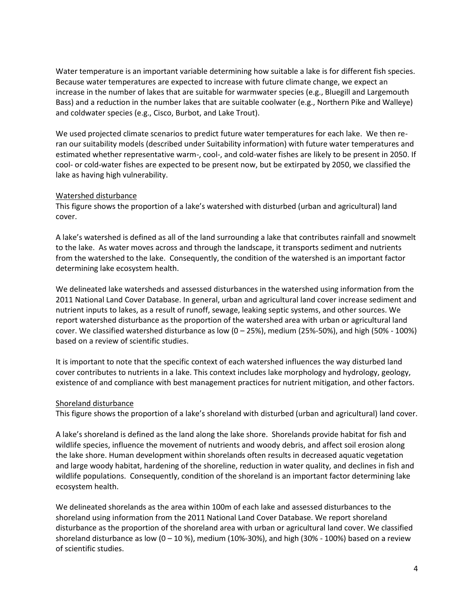Water temperature is an important variable determining how suitable a lake is for different fish species. Because water temperatures are expected to increase with future climate change, we expect an increase in the number of lakes that are suitable for warmwater species (e.g., Bluegill and Largemouth Bass) and a reduction in the number lakes that are suitable coolwater (e.g., Northern Pike and Walleye) and coldwater species (e.g., Cisco, Burbot, and Lake Trout).

We used projected climate scenarios to predict future water temperatures for each lake. We then reran our suitability models (described under Suitability information) with future water temperatures and estimated whether representative warm-, cool-, and cold-water fishes are likely to be present in 2050. If cool- or cold-water fishes are expected to be present now, but be extirpated by 2050, we classified the lake as having high vulnerability.

#### Watershed disturbance

This figure shows the proportion of a lake's watershed with disturbed (urban and agricultural) land cover.

A lake's watershed is defined as all of the land surrounding a lake that contributes rainfall and snowmelt to the lake. As water moves across and through the landscape, it transports sediment and nutrients from the watershed to the lake. Consequently, the condition of the watershed is an important factor determining lake ecosystem health.

We delineated lake watersheds and assessed disturbances in the watershed using information from the 2011 National Land Cover Database. In general, urban and agricultural land cover increase sediment and nutrient inputs to lakes, as a result of runoff, sewage, leaking septic systems, and other sources. We report watershed disturbance as the proportion of the watershed area with urban or agricultural land cover. We classified watershed disturbance as low (0 – 25%), medium (25%-50%), and high (50% - 100%) based on a review of scientific studies.

It is important to note that the specific context of each watershed influences the way disturbed land cover contributes to nutrients in a lake. This context includes lake morphology and hydrology, geology, existence of and compliance with best management practices for nutrient mitigation, and other factors.

#### Shoreland disturbance

This figure shows the proportion of a lake's shoreland with disturbed (urban and agricultural) land cover.

A lake's shoreland is defined as the land along the lake shore. Shorelands provide habitat for fish and wildlife species, influence the movement of nutrients and woody debris, and affect soil erosion along the lake shore. Human development within shorelands often results in decreased aquatic vegetation and large woody habitat, hardening of the shoreline, reduction in water quality, and declines in fish and wildlife populations. Consequently, condition of the shoreland is an important factor determining lake ecosystem health.

We delineated shorelands as the area within 100m of each lake and assessed disturbances to the shoreland using information from the 2011 National Land Cover Database. We report shoreland disturbance as the proportion of the shoreland area with urban or agricultural land cover. We classified shoreland disturbance as low  $(0 - 10 \%)$ , medium  $(10\% - 30\%)$ , and high  $(30\% - 100\%)$  based on a review of scientific studies.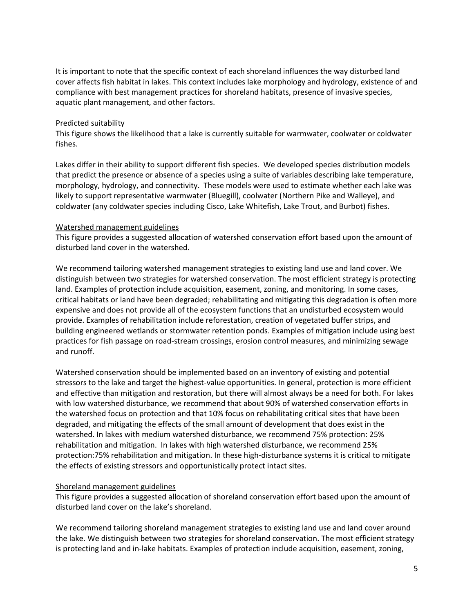It is important to note that the specific context of each shoreland influences the way disturbed land cover affects fish habitat in lakes. This context includes lake morphology and hydrology, existence of and compliance with best management practices for shoreland habitats, presence of invasive species, aquatic plant management, and other factors.

#### Predicted suitability

This figure shows the likelihood that a lake is currently suitable for warmwater, coolwater or coldwater fishes.

Lakes differ in their ability to support different fish species. We developed species distribution models that predict the presence or absence of a species using a suite of variables describing lake temperature, morphology, hydrology, and connectivity. These models were used to estimate whether each lake was likely to support representative warmwater (Bluegill), coolwater (Northern Pike and Walleye), and coldwater (any coldwater species including Cisco, Lake Whitefish, Lake Trout, and Burbot) fishes.

#### Watershed management guidelines

This figure provides a suggested allocation of watershed conservation effort based upon the amount of disturbed land cover in the watershed.

We recommend tailoring watershed management strategies to existing land use and land cover. We distinguish between two strategies for watershed conservation. The most efficient strategy is protecting land. Examples of protection include acquisition, easement, zoning, and monitoring. In some cases, critical habitats or land have been degraded; rehabilitating and mitigating this degradation is often more expensive and does not provide all of the ecosystem functions that an undisturbed ecosystem would provide. Examples of rehabilitation include reforestation, creation of vegetated buffer strips, and building engineered wetlands or stormwater retention ponds. Examples of mitigation include using best practices for fish passage on road-stream crossings, erosion control measures, and minimizing sewage and runoff.

Watershed conservation should be implemented based on an inventory of existing and potential stressors to the lake and target the highest-value opportunities. In general, protection is more efficient and effective than mitigation and restoration, but there will almost always be a need for both. For lakes with low watershed disturbance, we recommend that about 90% of watershed conservation efforts in the watershed focus on protection and that 10% focus on rehabilitating critical sites that have been degraded, and mitigating the effects of the small amount of development that does exist in the watershed. In lakes with medium watershed disturbance, we recommend 75% protection: 25% rehabilitation and mitigation. In lakes with high watershed disturbance, we recommend 25% protection:75% rehabilitation and mitigation. In these high-disturbance systems it is critical to mitigate the effects of existing stressors and opportunistically protect intact sites.

#### Shoreland management guidelines

This figure provides a suggested allocation of shoreland conservation effort based upon the amount of disturbed land cover on the lake's shoreland.

We recommend tailoring shoreland management strategies to existing land use and land cover around the lake. We distinguish between two strategies for shoreland conservation. The most efficient strategy is protecting land and in-lake habitats. Examples of protection include acquisition, easement, zoning,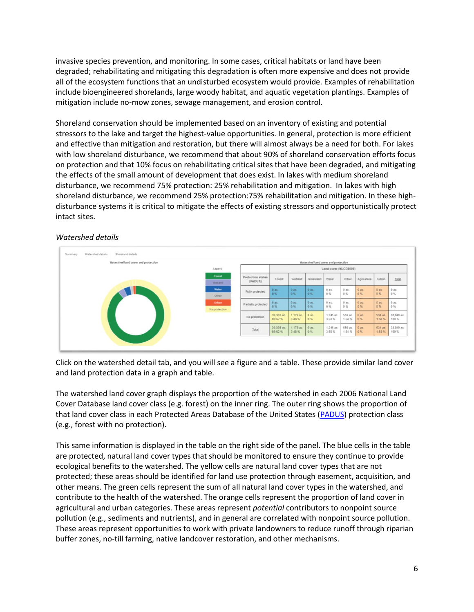invasive species prevention, and monitoring. In some cases, critical habitats or land have been degraded; rehabilitating and mitigating this degradation is often more expensive and does not provide all of the ecosystem functions that an undisturbed ecosystem would provide. Examples of rehabilitation include bioengineered shorelands, large woody habitat, and aquatic vegetation plantings. Examples of mitigation include no-mow zones, sewage management, and erosion control.

Shoreland conservation should be implemented based on an inventory of existing and potential stressors to the lake and target the highest-value opportunities. In general, protection is more efficient and effective than mitigation and restoration, but there will almost always be a need for both. For lakes with low shoreland disturbance, we recommend that about 90% of shoreland conservation efforts focus on protection and that 10% focus on rehabilitating critical sites that have been degraded, and mitigating the effects of the small amount of development that does exist. In lakes with medium shoreland disturbance, we recommend 75% protection: 25% rehabilitation and mitigation. In lakes with high shoreland disturbance, we recommend 25% protection:75% rehabilitation and mitigation. In these highdisturbance systems it is critical to mitigate the effects of existing stressors and opportunistically protect intact sites.

#### Shoreland details Watershed land cover and protec shed land cover and prote Land cover (NLCD2006) tection status<br>(PADUS) Forest Wetland Water Other Agriculture Urban Total Grassi  $0$  ac.  $0$  ac  $0 \, \%$  $0$  ac.<br> $0.56$  $\frac{0}{0.36}$  $0$  ac.<br> $0 \%$ Fully pr  $0$  ac<br> $n \ll$  $0a$ c  $\frac{1}{2}$ 0 ac.<br>0 %  $0$  ac.<br> $0 \leq$  $0$  ac.<br> $0 \leq$  $0$  ac.<br> $0\%$  $0$  ac.<br> $0\%$  $0a$ c 0 ac<br>0 %  $0$  ac<br> $0\%$ artially protes 1,245 ac.<br>3,68 % 556 ac.<br>1.64 % 534 ac<br>1.58 % 33,849 ac.<br>100 % 30,335 ac.<br>89.62 % 1,179 a:<br>3.48 % 0 ac.<br>0 %  $0a$ c<br> $0%$ No protect 30,335 ac.<br>89.62%  $0$  ac  $0.56$ 1,245 ac.<br>3.68 % 556 ac.<br>1.64 % 534 ac.<br>1.58 % 33,849 ac. 1,179 at<br>3.48 %  $0$  ac  $0.96$ Total 100%

#### *Watershed details*

Click on the watershed detail tab, and you will see a figure and a table. These provide similar land cover and land protection data in a graph and table.

The watershed land cover graph displays the proportion of the watershed in each 2006 National Land Cover Database land cover class (e.g. forest) on the inner ring. The outer ring shows the proportion of that land cover class in each Protected Areas Database of the United States [\(PADUS\)](https://gapanalysis.usgs.gov/padus/) protection class (e.g., forest with no protection).

This same information is displayed in the table on the right side of the panel. The blue cells in the table are protected, natural land cover types that should be monitored to ensure they continue to provide ecological benefits to the watershed. The yellow cells are natural land cover types that are not protected; these areas should be identified for land use protection through easement, acquisition, and other means. The green cells represent the sum of all natural land cover types in the watershed, and contribute to the health of the watershed. The orange cells represent the proportion of land cover in agricultural and urban categories. These areas represent *potential* contributors to nonpoint source pollution (e.g., sediments and nutrients), and in general are correlated with nonpoint source pollution. These areas represent opportunities to work with private landowners to reduce runoff through riparian buffer zones, no-till farming, native landcover restoration, and other mechanisms.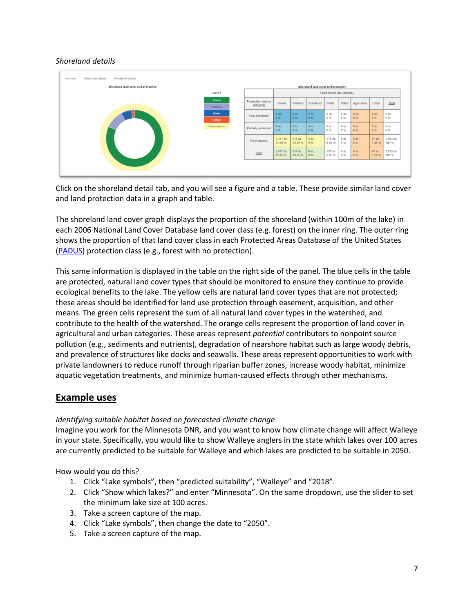#### *Shoreland details*



Click on the shoreland detail tab, and you will see a figure and a table. These provide similar land cover and land protection data in a graph and table.

The shoreland land cover graph displays the proportion of the shoreland (within 100m of the lake) in each 2006 National Land Cover Database land cover class (e.g. forest) on the inner ring. The outer ring shows the proportion of that land cover class in each Protected Areas Database of the United States [\(PADUS\)](https://gapanalysis.usgs.gov/padus/) protection class (e.g., forest with no protection).

This same information is displayed in the table on the right side of the panel. The blue cells in the table are protected, natural land cover types that should be monitored to ensure they continue to provide ecological benefits to the lake. The yellow cells are natural land cover types that are not protected; these areas should be identified for land use protection through easement, acquisition, and other means. The green cells represent the sum of all natural land cover types in the watershed, and contribute to the health of the watershed. The orange cells represent the proportion of land cover in agricultural and urban categories. These areas represent *potential* contributors to nonpoint source pollution (e.g., sediments and nutrients), degradation of nearshore habitat such as large woody debris, and prevalence of structures like docks and seawalls. These areas represent opportunities to work with private landowners to reduce runoff through riparian buffer zones, increase woody habitat, minimize aquatic vegetation treatments, and minimize human-caused effects through other mechanisms.

### **Example uses**

#### *Identifying suitable habitat based on forecasted climate change*

Imagine you work for the Minnesota DNR, and you want to know how climate change will affect Walleye in your state. Specifically, you would like to show Walleye anglers in the state which lakes over 100 acres are currently predicted to be suitable for Walleye and which lakes are predicted to be suitable in 2050.

How would you do this?

- 1. Click "Lake symbols", then "predicted suitability", "Walleye" and "2018".
- 2. Click "Show which lakes?" and enter "Minnesota". On the same dropdown, use the slider to set the minimum lake size at 100 acres.
- 3. Take a screen capture of the map.
- 4. Click "Lake symbols", then change the date to "2050".
- 5. Take a screen capture of the map.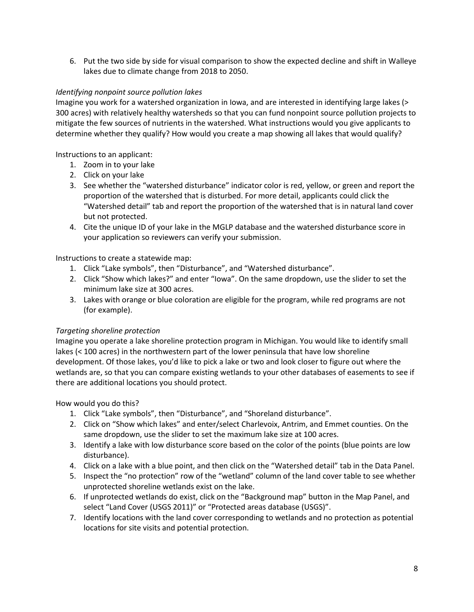6. Put the two side by side for visual comparison to show the expected decline and shift in Walleye lakes due to climate change from 2018 to 2050.

#### *Identifying nonpoint source pollution lakes*

Imagine you work for a watershed organization in Iowa, and are interested in identifying large lakes (> 300 acres) with relatively healthy watersheds so that you can fund nonpoint source pollution projects to mitigate the few sources of nutrients in the watershed. What instructions would you give applicants to determine whether they qualify? How would you create a map showing all lakes that would qualify?

Instructions to an applicant:

- 1. Zoom in to your lake
- 2. Click on your lake
- 3. See whether the "watershed disturbance" indicator color is red, yellow, or green and report the proportion of the watershed that is disturbed. For more detail, applicants could click the "Watershed detail" tab and report the proportion of the watershed that is in natural land cover but not protected.
- 4. Cite the unique ID of your lake in the MGLP database and the watershed disturbance score in your application so reviewers can verify your submission.

Instructions to create a statewide map:

- 1. Click "Lake symbols", then "Disturbance", and "Watershed disturbance".
- 2. Click "Show which lakes?" and enter "Iowa". On the same dropdown, use the slider to set the minimum lake size at 300 acres.
- 3. Lakes with orange or blue coloration are eligible for the program, while red programs are not (for example).

#### *Targeting shoreline protection*

Imagine you operate a lake shoreline protection program in Michigan. You would like to identify small lakes (< 100 acres) in the northwestern part of the lower peninsula that have low shoreline development. Of those lakes, you'd like to pick a lake or two and look closer to figure out where the wetlands are, so that you can compare existing wetlands to your other databases of easements to see if there are additional locations you should protect.

How would you do this?

- 1. Click "Lake symbols", then "Disturbance", and "Shoreland disturbance".
- 2. Click on "Show which lakes" and enter/select Charlevoix, Antrim, and Emmet counties. On the same dropdown, use the slider to set the maximum lake size at 100 acres.
- 3. Identify a lake with low disturbance score based on the color of the points (blue points are low disturbance).
- 4. Click on a lake with a blue point, and then click on the "Watershed detail" tab in the Data Panel.
- 5. Inspect the "no protection" row of the "wetland" column of the land cover table to see whether unprotected shoreline wetlands exist on the lake.
- 6. If unprotected wetlands do exist, click on the "Background map" button in the Map Panel, and select "Land Cover (USGS 2011)" or "Protected areas database (USGS)".
- 7. Identify locations with the land cover corresponding to wetlands and no protection as potential locations for site visits and potential protection.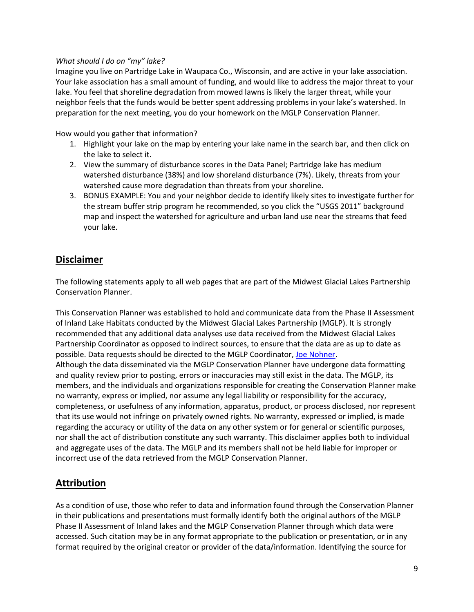#### *What should I do on "my" lake?*

Imagine you live on Partridge Lake in Waupaca Co., Wisconsin, and are active in your lake association. Your lake association has a small amount of funding, and would like to address the major threat to your lake. You feel that shoreline degradation from mowed lawns is likely the larger threat, while your neighbor feels that the funds would be better spent addressing problems in your lake's watershed. In preparation for the next meeting, you do your homework on the MGLP Conservation Planner.

How would you gather that information?

- 1. Highlight your lake on the map by entering your lake name in the search bar, and then click on the lake to select it.
- 2. View the summary of disturbance scores in the Data Panel; Partridge lake has medium watershed disturbance (38%) and low shoreland disturbance (7%). Likely, threats from your watershed cause more degradation than threats from your shoreline.
- 3. BONUS EXAMPLE: You and your neighbor decide to identify likely sites to investigate further for the stream buffer strip program he recommended, so you click the "USGS 2011" background map and inspect the watershed for agriculture and urban land use near the streams that feed your lake.

## **Disclaimer**

The following statements apply to all web pages that are part of the Midwest Glacial Lakes Partnership Conservation Planner.

This Conservation Planner was established to hold and communicate data from the Phase II Assessment of Inland Lake Habitats conducted by the Midwest Glacial Lakes Partnership (MGLP). It is strongly recommended that any additional data analyses use data received from the Midwest Glacial Lakes Partnership Coordinator as opposed to indirect sources, to ensure that the data are as up to date as possible. Data requests should be directed to the MGLP Coordinator, [Joe Nohner.](mailto:nohnerj@michigan.gov?subject=MGLP%20Data%20Viewer%20Inquiry) Although the data disseminated via the MGLP Conservation Planner have undergone data formatting and quality review prior to posting, errors or inaccuracies may still exist in the data. The MGLP, its members, and the individuals and organizations responsible for creating the Conservation Planner make no warranty, express or implied, nor assume any legal liability or responsibility for the accuracy, completeness, or usefulness of any information, apparatus, product, or process disclosed, nor represent that its use would not infringe on privately owned rights. No warranty, expressed or implied, is made regarding the accuracy or utility of the data on any other system or for general or scientific purposes, nor shall the act of distribution constitute any such warranty. This disclaimer applies both to individual and aggregate uses of the data. The MGLP and its members shall not be held liable for improper or incorrect use of the data retrieved from the MGLP Conservation Planner.

## **Attribution**

As a condition of use, those who refer to data and information found through the Conservation Planner in their publications and presentations must formally identify both the original authors of the MGLP Phase II Assessment of Inland lakes and the MGLP Conservation Planner through which data were accessed. Such citation may be in any format appropriate to the publication or presentation, or in any format required by the original creator or provider of the data/information. Identifying the source for